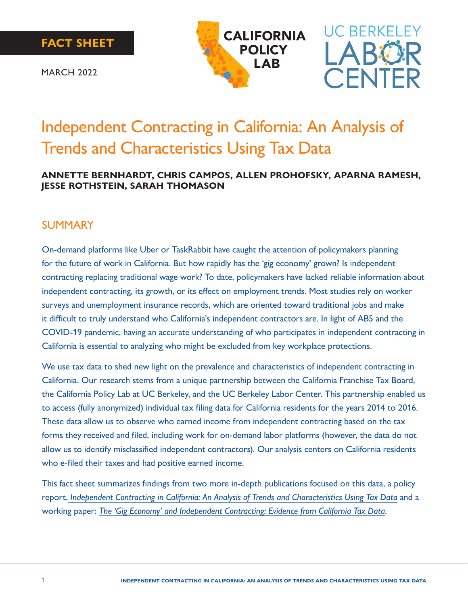





MARCH 2022

# Independent Contracting in California: An Analysis of Trends and Characteristics Using Tax Data

#### **ANNETTE BERNHARDT, CHRIS CAMPOS, ALLEN PROHOFSKY, APARNA RAMESH, JESSE ROTHSTEIN, SARAH THOMASON**

### SUMMARY

On-demand platforms like Uber or TaskRabbit have caught the attention of policymakers planning for the future of work in California. But how rapidly has the 'gig economy' grown? Is independent contracting replacing traditional wage work? To date, policymakers have lacked reliable information about independent contracting, its growth, or its effect on employment trends. Most studies rely on worker surveys and unemployment insurance records, which are oriented toward traditional jobs and make it difficult to truly understand who California's independent contractors are. In light of AB5 and the COVID-19 pandemic, having an accurate understanding of who participates in independent contracting in California is essential to analyzing who might be excluded from key workplace protections.

We use tax data to shed new light on the prevalence and characteristics of independent contracting in California. Our research stems from a unique partnership between the California Franchise Tax Board, the California Policy Lab at UC Berkeley, and the UC Berkeley Labor Center. This partnership enabled us to access (fully anonymized) individual tax filing data for California residents for the years 2014 to 2016. These data allow us to observe who earned income from independent contracting based on the tax forms they received and filed, including work for on-demand labor platforms (however, the data do not allow us to identify misclassified independent contractors). Our analysis centers on California residents who e-filed their taxes and had positive earned income.

This fact sheet summarizes findings from two more in-depth publications focused on this data, a policy report, *[Independent Contracting in California: An Analysis of Trends and Characteristics Using Tax Data](https://laborcenter.berkeley.edu/independent-contracting-in-california/)* and a working paper: *[The 'Gig Economy' and Independent Contracting: Evidence from California Tax Data](https://www.capolicylab.org/the-gig-economy-and-independent-contracting-evidence-from-california-tax-data/)*.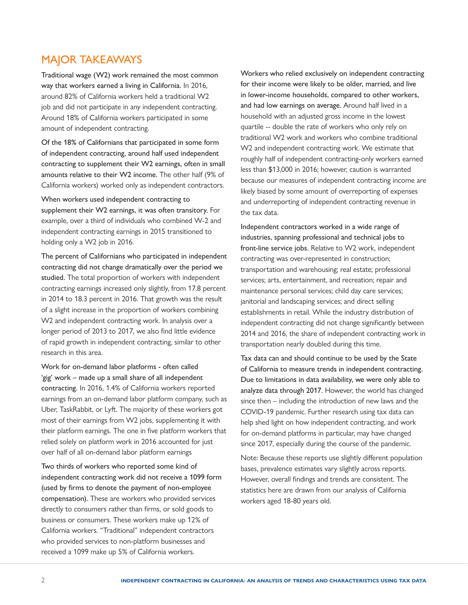# MAJOR TAKEAWAYS

Traditional wage (W2) work remained the most common way that workers earned a living in California. In 2016, around 82% of California workers held a traditional W2 job and did not participate in any independent contracting. Around 18% of California workers participated in some amount of independent contracting.

Of the 18% of Californians that participated in some form of independent contracting, around half used independent contracting to supplement their W2 earnings, often in small amounts relative to their W2 income. The other half (9% of California workers) worked only as independent contractors.

When workers used independent contracting to supplement their W2 earnings, it was often transitory. For example, over a third of individuals who combined W-2 and independent contracting earnings in 2015 transitioned to holding only a W2 job in 2016.

The percent of Californians who participated in independent contracting did not change dramatically over the period we studied. The total proportion of workers with independent contracting earnings increased only slightly, from 17.8 percent in 2014 to 18.3 percent in 2016. That growth was the result of a slight increase in the proportion of workers combining W2 and independent contracting work. In analysis over a longer period of 2013 to 2017, we also find little evidence of rapid growth in independent contracting, similar to other research in this area.

Work for on-demand labor platforms - often called 'gig' work – made up a small share of all independent contracting. In 2016, 1.4% of California workers reported earnings from an on-demand labor platform company, such as Uber, TaskRabbit, or Lyft. The majority of these workers got most of their earnings from W2 jobs, supplementing it with their platform earnings. The one in five platform workers that relied solely on platform work in 2016 accounted for just over half of all on-demand labor platform earnings

Two thirds of workers who reported some kind of independent contracting work did not receive a 1099 form (used by firms to denote the payment of non-employee compensation). These are workers who provided services directly to consumers rather than firms, or sold goods to business or consumers. These workers make up 12% of California workers. "Traditional" independent contractors who provided services to non-platform businesses and received a 1099 make up 5% of California workers.

Workers who relied exclusively on independent contracting for their income were likely to be older, married, and live in lower-income households, compared to other workers, and had low earnings on average. Around half lived in a household with an adjusted gross income in the lowest quartile -- double the rate of workers who only rely on traditional W2 work and workers who combine traditional W2 and independent contracting work. We estimate that roughly half of independent contracting-only workers earned less than \$13,000 in 2016; however, caution is warranted because our measures of independent contracting income are likely biased by some amount of overreporting of expenses and underreporting of independent contracting revenue in the tax data.

Independent contractors worked in a wide range of industries, spanning professional and technical jobs to front-line service jobs. Relative to W2 work, independent contracting was over-represented in construction; transportation and warehousing; real estate; professional services; arts, entertainment, and recreation; repair and maintenance personal services; child day care services; janitorial and landscaping services; and direct selling establishments in retail. While the industry distribution of independent contracting did not change significantly between 2014 and 2016, the share of independent contracting work in transportation nearly doubled during this time.

Tax data can and should continue to be used by the State of California to measure trends in independent contracting. Due to limitations in data availability, we were only able to analyze data through 2017. However, the world has changed since then – including the introduction of new laws and the COVID-19 pandemic. Further research using tax data can help shed light on how independent contracting, and work for on-demand platforms in particular, may have changed since 2017, especially during the course of the pandemic.

Note: Because these reports use slightly different population bases, prevalence estimates vary slightly across reports. However, overall findings and trends are consistent. The statistics here are drawn from our analysis of California workers aged 18-80 years old.